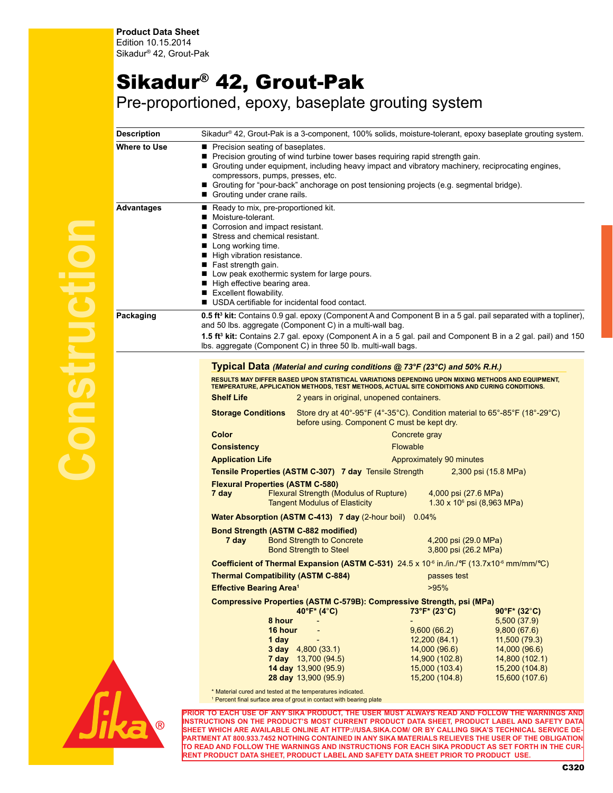## Sikadur® 42, Grout-Pak

Pre-proportioned, epoxy, baseplate grouting system

| Description       | Sikadur® 42, Grout-Pak is a 3-component, 100% solids, moisture-tolerant, epoxy baseplate grouting system.                                                                                                                                                                                                                                                                                                                                                                                                                                                                                                                                                                                                                                                                                                                                                                                                                                                                                                                                                                                                                                                                                                                                                                                                                                                                                                                                                                                                                                                                                                                                                                                                                                                                                                                               |
|-------------------|-----------------------------------------------------------------------------------------------------------------------------------------------------------------------------------------------------------------------------------------------------------------------------------------------------------------------------------------------------------------------------------------------------------------------------------------------------------------------------------------------------------------------------------------------------------------------------------------------------------------------------------------------------------------------------------------------------------------------------------------------------------------------------------------------------------------------------------------------------------------------------------------------------------------------------------------------------------------------------------------------------------------------------------------------------------------------------------------------------------------------------------------------------------------------------------------------------------------------------------------------------------------------------------------------------------------------------------------------------------------------------------------------------------------------------------------------------------------------------------------------------------------------------------------------------------------------------------------------------------------------------------------------------------------------------------------------------------------------------------------------------------------------------------------------------------------------------------------|
| Where to Use      | Precision seating of baseplates.<br>Precision grouting of wind turbine tower bases requiring rapid strength gain.<br>■<br>Grouting under equipment, including heavy impact and vibratory machinery, reciprocating engines,<br>compressors, pumps, presses, etc.<br>■ Grouting for "pour-back" anchorage on post tensioning projects (e.g. segmental bridge).<br>Grouting under crane rails.                                                                                                                                                                                                                                                                                                                                                                                                                                                                                                                                                                                                                                                                                                                                                                                                                                                                                                                                                                                                                                                                                                                                                                                                                                                                                                                                                                                                                                             |
| <b>Advantages</b> | Ready to mix, pre-proportioned kit.<br>Moisture-tolerant.<br>Corrosion and impact resistant.<br>■ Stress and chemical resistant.<br>■ Long working time.<br>High vibration resistance.<br>$\blacksquare$ Fast strength gain.<br>Low peak exothermic system for large pours.<br>High effective bearing area.<br>Excellent flowability.<br>■ USDA certifiable for incidental food contact.                                                                                                                                                                                                                                                                                                                                                                                                                                                                                                                                                                                                                                                                                                                                                                                                                                                                                                                                                                                                                                                                                                                                                                                                                                                                                                                                                                                                                                                |
| Packaging         | 0.5 ft <sup>3</sup> kit: Contains 0.9 gal. epoxy (Component A and Component B in a 5 gal. pail separated with a topliner),<br>and 50 lbs. aggregate (Component C) in a multi-wall bag.<br>1.5 ft <sup>3</sup> kit: Contains 2.7 gal. epoxy (Component A in a 5 gal. pail and Component B in a 2 gal. pail) and 150<br>Ibs. aggregate (Component C) in three 50 lb. multi-wall bags.                                                                                                                                                                                                                                                                                                                                                                                                                                                                                                                                                                                                                                                                                                                                                                                                                                                                                                                                                                                                                                                                                                                                                                                                                                                                                                                                                                                                                                                     |
|                   | Typical Data (Material and curing conditions @ 73°F (23°C) and 50% R.H.)<br>RESULTS MAY DIFFER BASED UPON STATISTICAL VARIATIONS DEPENDING UPON MIXING METHODS AND EQUIPMENT,<br>TEMPERATURE, APPLICATION METHODS, TEST METHODS, ACTUAL SITE CONDITIONS AND CURING CONDITIONS.<br><b>Shelf Life</b><br>2 years in original, unopened containers.<br>Store dry at $40^{\circ}$ -95°F (4°-35°C). Condition material to $65^{\circ}$ -85°F (18°-29°C)<br><b>Storage Conditions</b><br>before using. Component C must be kept dry.<br>Color<br>Concrete gray<br><b>Consistency</b><br><b>Flowable</b><br><b>Application Life</b><br>Approximately 90 minutes<br>Tensile Properties (ASTM C-307) 7 day Tensile Strength<br>2,300 psi (15.8 MPa)<br><b>Flexural Properties (ASTM C-580)</b><br>7 day<br>Flexural Strength (Modulus of Rupture)<br>4,000 psi (27.6 MPa)<br><b>Tangent Modulus of Elasticity</b><br>$1.30 \times 10^6$ psi (8,963 MPa)<br><b>Water Absorption (ASTM C-413) 7 day (2-hour boil) 0.04%</b><br><b>Bond Strength (ASTM C-882 modified)</b><br>7 day<br><b>Bond Strength to Concrete</b><br>4,200 psi (29.0 MPa)<br><b>Bond Strength to Steel</b><br>3,800 psi (26.2 MPa)<br>Coefficient of Thermal Expansion (ASTM C-531) 24.5 x 10 <sup>-6</sup> in./in./°F (13.7x10 <sup>-6</sup> mm/mm/°C)<br>Thermal Compatibility (ASTM C-884) entertainment of passes test<br><b>Effective Bearing Area<sup>1</sup></b><br>>95%<br><b>Compressive Properties (ASTM C-579B): Compressive Strength, psi (MPa)</b><br>$40^{\circ}F^{*}$ (4°C)<br>73°F* (23°C)<br>$90^{\circ}F^{*}$ (32°C)<br>8 hour<br>5,500(37.9)<br>16 hour<br>9,600(66.2)<br>9,800(67.6)<br>12,200(84.1)<br>11,500 (79.3)<br>1 day<br>14,000 (96.6)<br><b>3 day</b> $4,800(33.1)$<br>14,000 (96.6)<br>7 day 13,700 (94.5)<br>14,900 (102.8)<br>14,800 (102.1) |
|                   | <b>14 day</b> $13,900 (95.9)$<br>15,000 (103.4)<br>15,200 (104.8)<br><b>28 day 13,900 (95.9)</b><br>15,200 (104.8)<br>15,600 (107.6)<br>* Material cured and tested at the temperatures indicated.<br><sup>1</sup> Percent final surface area of grout in contact with bearing plate                                                                                                                                                                                                                                                                                                                                                                                                                                                                                                                                                                                                                                                                                                                                                                                                                                                                                                                                                                                                                                                                                                                                                                                                                                                                                                                                                                                                                                                                                                                                                    |
|                   | TICE OF ANY CIVA DOODLIGT THE HOED MHOT ALWAYS DEAD AND FOLLOW THE WADNINGS AND                                                                                                                                                                                                                                                                                                                                                                                                                                                                                                                                                                                                                                                                                                                                                                                                                                                                                                                                                                                                                                                                                                                                                                                                                                                                                                                                                                                                                                                                                                                                                                                                                                                                                                                                                         |



**Construction**

**PRIOR TO EACH USE OF ANY SIKA PRODUCT, THE USER MUST ALWAYS READ AND FOLLOW THE WARNINGS AND INSTRUCTIONS ON THE PRODUCT'S MOST CURRENT PRODUCT DATA SHEET, PRODUCT LABEL AND SAFETY DATA SHEET WHICH ARE AVAILABLE ONLINE AT HTTP://USA.SIKA.COM/ OR BY CALLING SIKA'S TECHNICAL SERVICE DE-PARTMENT AT 800.933.7452 NOTHING CONTAINED IN ANY SIKA MATERIALS RELIEVES THE USER OF THE OBLIGATION TO READ AND FOLLOW THE WARNINGS AND INSTRUCTIONS FOR EACH SIKA PRODUCT AS SET FORTH IN THE CUR-RENT PRODUCT DATA SHEET, PRODUCT LABEL AND SAFETY DATA SHEET PRIOR TO PRODUCT USE.**